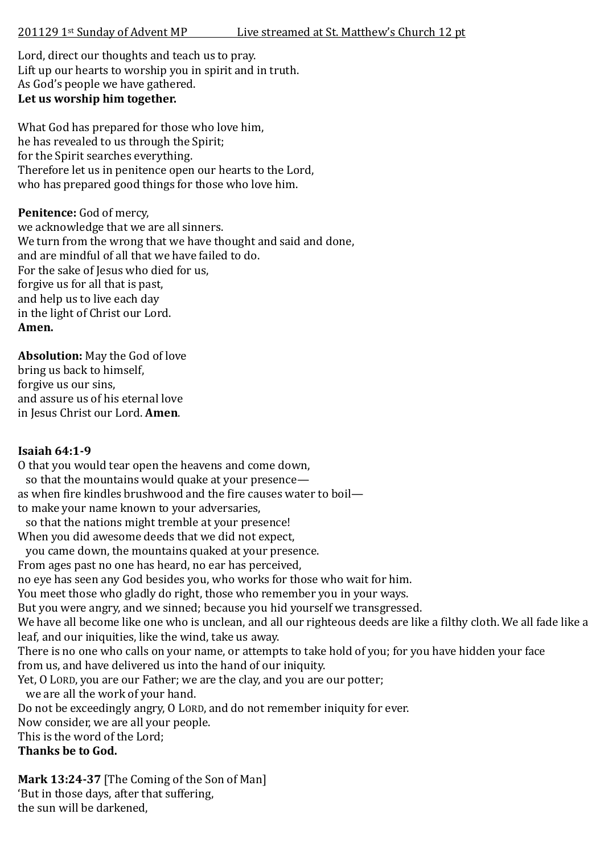Lord, direct our thoughts and teach us to pray. Lift up our hearts to worship you in spirit and in truth. As God's people we have gathered. **Let us worship him together.**

What God has prepared for those who love him, he has revealed to us through the Spirit; for the Spirit searches everything. Therefore let us in penitence open our hearts to the Lord, who has prepared good things for those who love him.

### Penitence: God of mercy,

we acknowledge that we are all sinners. We turn from the wrong that we have thought and said and done. and are mindful of all that we have failed to do. For the sake of Jesus who died for us, forgive us for all that is past, and help us to live each day in the light of Christ our Lord. **Amen.**

**Absolution:** May the God of love bring us back to himself, forgive us our sins, and assure us of his eternal love in Jesus Christ our Lord. **Amen**.

## **Isaiah 64:1-9**

O that you would tear open the heavens and come down,

 so that the mountains would quake at your presence as when fire kindles brushwood and the fire causes water to boil to make your name known to your adversaries,

 so that the nations might tremble at your presence! When you did awesome deeds that we did not expect,

you came down, the mountains quaked at your presence.

From ages past no one has heard, no ear has perceived,

no eye has seen any God besides you, who works for those who wait for him.

You meet those who gladly do right, those who remember you in your ways.

But you were angry, and we sinned; because you hid yourself we transgressed.

We have all become like one who is unclean, and all our righteous deeds are like a filthy cloth. We all fade like a leaf, and our iniquities, like the wind, take us away.

There is no one who calls on your name, or attempts to take hold of you; for you have hidden your face from us, and have delivered us into the hand of our iniquity.

Yet, O LORD, you are our Father; we are the clay, and you are our potter;

we are all the work of your hand.

Do not be exceedingly angry, O LORD, and do not remember iniquity for ever.

Now consider, we are all your people.

This is the word of the Lord;

**Thanks be to God.**

**Mark 13:24-37** [The Coming of the Son of Man] 'But in those days, after that suffering, the sun will be darkened,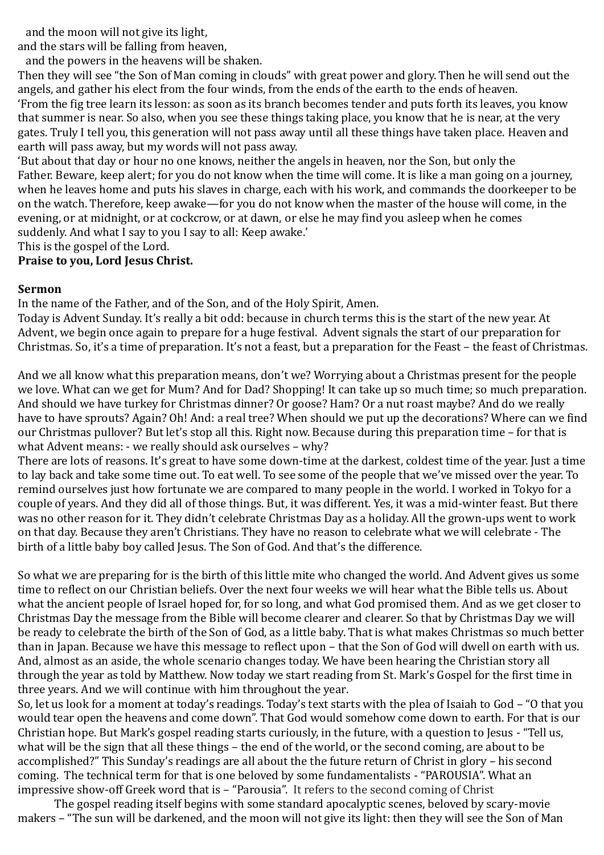and the moon will not give its light,

and the stars will be falling from heaven,

and the powers in the heavens will be shaken.

Then they will see "the Son of Man coming in clouds" with great power and glory. Then he will send out the angels, and gather his elect from the four winds, from the ends of the earth to the ends of heaven. 'From the fig tree learn its lesson: as soon as its branch becomes tender and puts forth its leaves, you know that summer is near. So also, when you see these things taking place, you know that he is near, at the very gates. Truly I tell you, this generation will not pass away until all these things have taken place. Heaven and earth will pass away, but my words will not pass away.

'But about that day or hour no one knows, neither the angels in heaven, nor the Son, but only the Father. Beware, keep alert; for you do not know when the time will come. It is like a man going on a journey, when he leaves home and puts his slaves in charge, each with his work, and commands the doorkeeper to be on the watch. Therefore, keep awake—for you do not know when the master of the house will come, in the evening, or at midnight, or at cockcrow, or at dawn, or else he may find you asleep when he comes suddenly. And what I say to you I say to all: Keep awake.'

This is the gospel of the Lord.

### **Praise to you, Lord Jesus Christ.**

#### **Sermon**

In the name of the Father, and of the Son, and of the Holy Spirit, Amen.

Today is Advent Sunday. It's really a bit odd: because in church terms this is the start of the new year. At Advent, we begin once again to prepare for a huge festival. Advent signals the start of our preparation for Christmas. So, it's a time of preparation. It's not a feast, but a preparation for the Feast – the feast of Christmas.

And we all know what this preparation means, don't we? Worrying about a Christmas present for the people we love. What can we get for Mum? And for Dad? Shopping! It can take up so much time; so much preparation. And should we have turkey for Christmas dinner? Or goose? Ham? Or a nut roast maybe? And do we really have to have sprouts? Again? Oh! And: a real tree? When should we put up the decorations? Where can we find our Christmas pullover? But let's stop all this. Right now. Because during this preparation time – for that is what Advent means: - we really should ask ourselves – why?

There are lots of reasons. It's great to have some down-time at the darkest, coldest time of the year. Just a time to lay back and take some time out. To eat well. To see some of the people that we've missed over the year. To remind ourselves just how fortunate we are compared to many people in the world. I worked in Tokyo for a couple of years. And they did all of those things. But, it was different. Yes, it was a mid-winter feast. But there was no other reason for it. They didn't celebrate Christmas Day as a holiday. All the grown-ups went to work on that day. Because they aren't Christians. They have no reason to celebrate what we will celebrate - The birth of a little baby boy called Jesus. The Son of God. And that's the difference.

So what we are preparing for is the birth of this little mite who changed the world. And Advent gives us some time to reflect on our Christian beliefs. Over the next four weeks we will hear what the Bible tells us. About what the ancient people of Israel hoped for, for so long, and what God promised them. And as we get closer to Christmas Day the message from the Bible will become clearer and clearer. So that by Christmas Day we will be ready to celebrate the birth of the Son of God, as a little baby. That is what makes Christmas so much better than in Japan. Because we have this message to reflect upon – that the Son of God will dwell on earth with us. And, almost as an aside, the whole scenario changes today. We have been hearing the Christian story all through the year as told by Matthew. Now today we start reading from St. Mark's Gospel for the first time in three years. And we will continue with him throughout the year.

So, let us look for a moment at today's readings. Today's text starts with the plea of Isaiah to God – "O that you would tear open the heavens and come down". That God would somehow come down to earth. For that is our Christian hope. But Mark's gospel reading starts curiously, in the future, with a question to Jesus - "Tell us, what will be the sign that all these things – the end of the world, or the second coming, are about to be accomplished?" This Sunday's readings are all about the the future return of Christ in glory – his second coming. The technical term for that is one beloved by some fundamentalists - "PAROUSIA". What an impressive show-off Greek word that is – "Parousia". It refers to the second coming of Christ

The gospel reading itself begins with some standard apocalyptic scenes, beloved by scary-movie makers – "The sun will be darkened, and the moon will not give its light: then they will see the Son of Man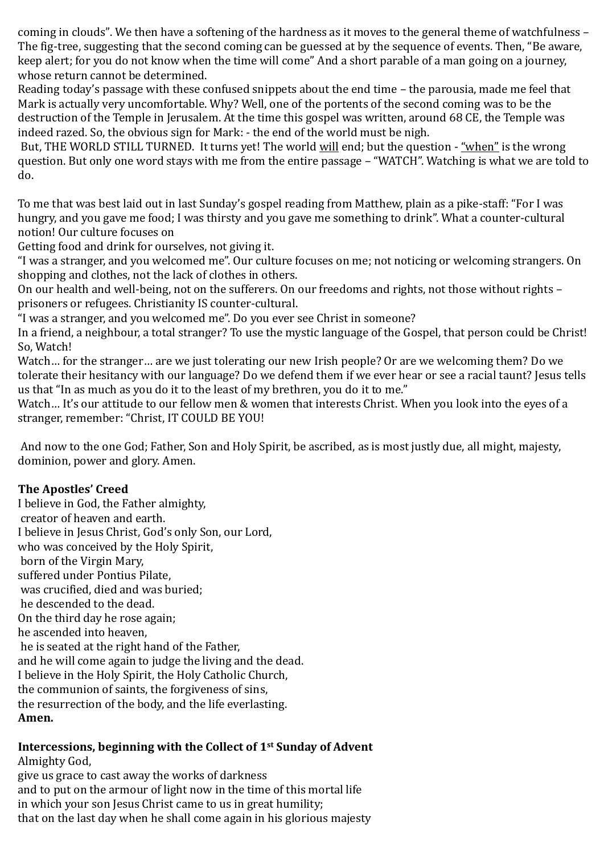coming in clouds". We then have a softening of the hardness as it moves to the general theme of watchfulness – The fig-tree, suggesting that the second coming can be guessed at by the sequence of events. Then, "Be aware, keep alert; for you do not know when the time will come" And a short parable of a man going on a journey, whose return cannot be determined.

Reading today's passage with these confused snippets about the end time – the parousia, made me feel that Mark is actually very uncomfortable. Why? Well, one of the portents of the second coming was to be the destruction of the Temple in Jerusalem. At the time this gospel was written, around 68 CE, the Temple was indeed razed. So, the obvious sign for Mark: - the end of the world must be nigh.

But, THE WORLD STILL TURNED. It turns yet! The world will end; but the question - "when" is the wrong question. But only one word stays with me from the entire passage – "WATCH". Watching is what we are told to do.

To me that was best laid out in last Sunday's gospel reading from Matthew, plain as a pike-staff: "For I was hungry, and you gave me food; I was thirsty and you gave me something to drink". What a counter-cultural notion! Our culture focuses on

Getting food and drink for ourselves, not giving it.

"I was a stranger, and you welcomed me". Our culture focuses on me; not noticing or welcoming strangers. On shopping and clothes, not the lack of clothes in others.

On our health and well-being, not on the sufferers. On our freedoms and rights, not those without rights – prisoners or refugees. Christianity IS counter-cultural.

"I was a stranger, and you welcomed me". Do you ever see Christ in someone?

In a friend, a neighbour, a total stranger? To use the mystic language of the Gospel, that person could be Christ! So, Watch!

Watch… for the stranger… are we just tolerating our new Irish people? Or are we welcoming them? Do we tolerate their hesitancy with our language? Do we defend them if we ever hear or see a racial taunt? Jesus tells us that "In as much as you do it to the least of my brethren, you do it to me."

Watch… It's our attitude to our fellow men & women that interests Christ. When you look into the eyes of a stranger, remember: "Christ, IT COULD BE YOU!

And now to the one God; Father, Son and Holy Spirit, be ascribed, as is most justly due, all might, majesty, dominion, power and glory. Amen.

## **The Apostles' Creed**

I believe in God, the Father almighty, creator of heaven and earth. I believe in Jesus Christ, God's only Son, our Lord, who was conceived by the Holy Spirit, born of the Virgin Mary, suffered under Pontius Pilate, was crucified, died and was buried; he descended to the dead. On the third day he rose again; he ascended into heaven, he is seated at the right hand of the Father, and he will come again to judge the living and the dead. I believe in the Holy Spirit, the Holy Catholic Church, the communion of saints, the forgiveness of sins, the resurrection of the body, and the life everlasting. **Amen.** 

# **Intercessions, beginning with the Collect of 1st Sunday of Advent**

Almighty God, give us grace to cast away the works of darkness and to put on the armour of light now in the time of this mortal life in which your son Jesus Christ came to us in great humility; that on the last day when he shall come again in his glorious majesty